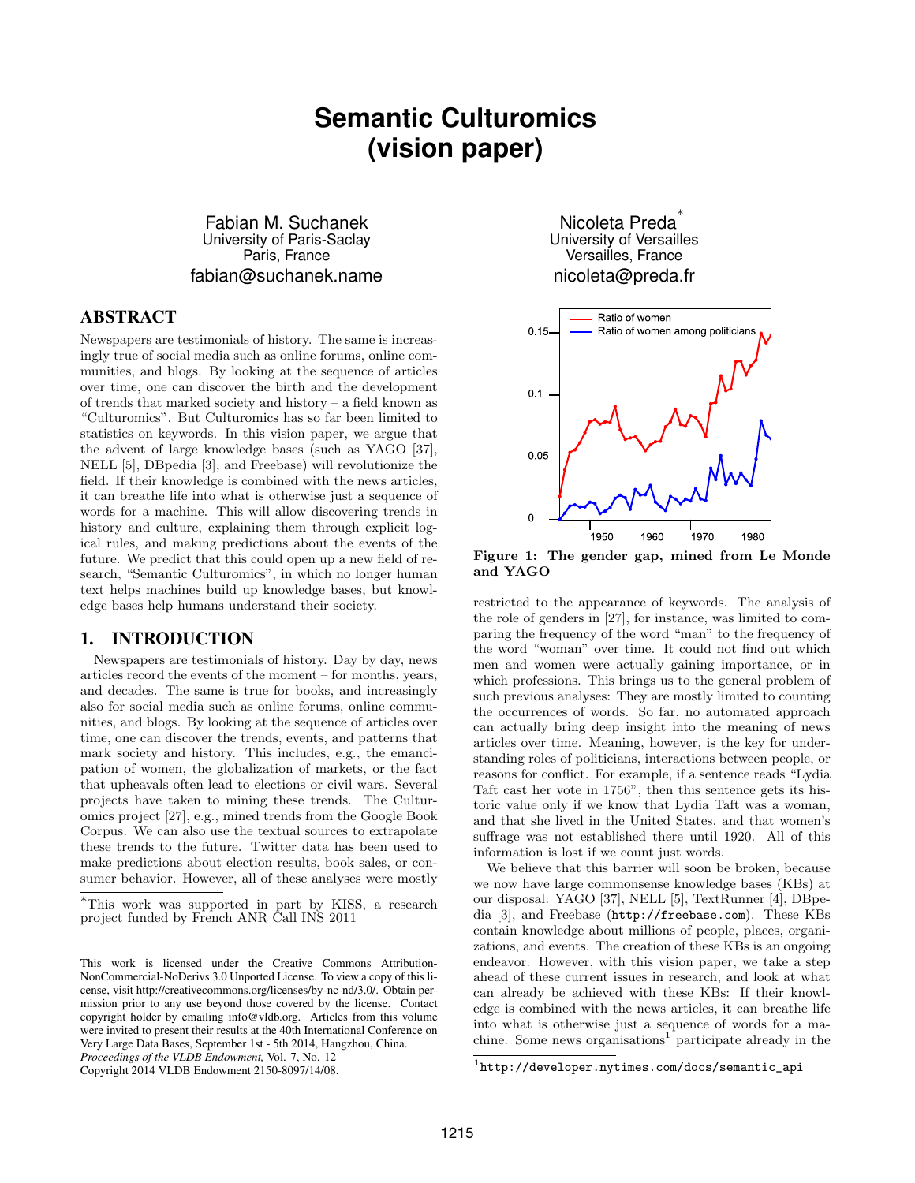# **Semantic Culturomics (vision paper)**

Fabian M. Suchanek University of Paris-Saclay Paris, France fabian@suchanek.name

### ABSTRACT

Newspapers are testimonials of history. The same is increasingly true of social media such as online forums, online communities, and blogs. By looking at the sequence of articles over time, one can discover the birth and the development of trends that marked society and history – a field known as "Culturomics". But Culturomics has so far been limited to statistics on keywords. In this vision paper, we argue that the advent of large knowledge bases (such as YAGO [\[37\]](#page-3-0), NELL [\[5\]](#page-3-1), DBpedia [\[3\]](#page-3-2), and Freebase) will revolutionize the field. If their knowledge is combined with the news articles, it can breathe life into what is otherwise just a sequence of words for a machine. This will allow discovering trends in history and culture, explaining them through explicit logical rules, and making predictions about the events of the future. We predict that this could open up a new field of research, "Semantic Culturomics", in which no longer human text helps machines build up knowledge bases, but knowledge bases help humans understand their society.

#### 1. INTRODUCTION

Newspapers are testimonials of history. Day by day, news articles record the events of the moment – for months, years, and decades. The same is true for books, and increasingly also for social media such as online forums, online communities, and blogs. By looking at the sequence of articles over time, one can discover the trends, events, and patterns that mark society and history. This includes, e.g., the emancipation of women, the globalization of markets, or the fact that upheavals often lead to elections or civil wars. Several projects have taken to mining these trends. The Culturomics project [\[27\]](#page-3-3), e.g., mined trends from the Google Book Corpus. We can also use the textual sources to extrapolate these trends to the future. Twitter data has been used to make predictions about election results, book sales, or consumer behavior. However, all of these analyses were mostly

Copyright 2014 VLDB Endowment 2150-8097/14/08.

Nicoleta Preda ∗ University of Versailles Versailles, France nicoleta@preda.fr



Figure 1: The gender gap, mined from Le Monde and YAGO

restricted to the appearance of keywords. The analysis of the role of genders in [\[27\]](#page-3-3), for instance, was limited to comparing the frequency of the word "man" to the frequency of the word "woman" over time. It could not find out which men and women were actually gaining importance, or in which professions. This brings us to the general problem of such previous analyses: They are mostly limited to counting the occurrences of words. So far, no automated approach can actually bring deep insight into the meaning of news articles over time. Meaning, however, is the key for understanding roles of politicians, interactions between people, or reasons for conflict. For example, if a sentence reads "Lydia Taft cast her vote in 1756", then this sentence gets its historic value only if we know that Lydia Taft was a woman, and that she lived in the United States, and that women's suffrage was not established there until 1920. All of this information is lost if we count just words.

We believe that this barrier will soon be broken, because we now have large commonsense knowledge bases (KBs) at our disposal: YAGO [\[37\]](#page-3-0), NELL [\[5\]](#page-3-1), TextRunner [\[4\]](#page-3-4), DBpedia [\[3\]](#page-3-2), and Freebase (<http://freebase.com>). These KBs contain knowledge about millions of people, places, organizations, and events. The creation of these KBs is an ongoing endeavor. However, with this vision paper, we take a step ahead of these current issues in research, and look at what can already be achieved with these KBs: If their knowledge is combined with the news articles, it can breathe life into what is otherwise just a sequence of words for a ma-chine. Some news organisations<sup>[1](#page-0-0)</sup> participate already in the

<sup>∗</sup>This work was supported in part by KISS, a research project funded by French ANR Call INS 2011

This work is licensed under the Creative Commons Attribution-NonCommercial-NoDerivs 3.0 Unported License. To view a copy of this license, visit http://creativecommons.org/licenses/by-nc-nd/3.0/. Obtain permission prior to any use beyond those covered by the license. Contact copyright holder by emailing info@vldb.org. Articles from this volume were invited to present their results at the 40th International Conference on Very Large Data Bases, September 1st - 5th 2014, Hangzhou, China.

*Proceedings of the VLDB Endowment,* Vol. 7, No. 12

<span id="page-0-0"></span> $^{1}$ [http://developer.nytimes.com/docs/semantic\\_api](http://developer.nytimes.com/docs/semantic_api)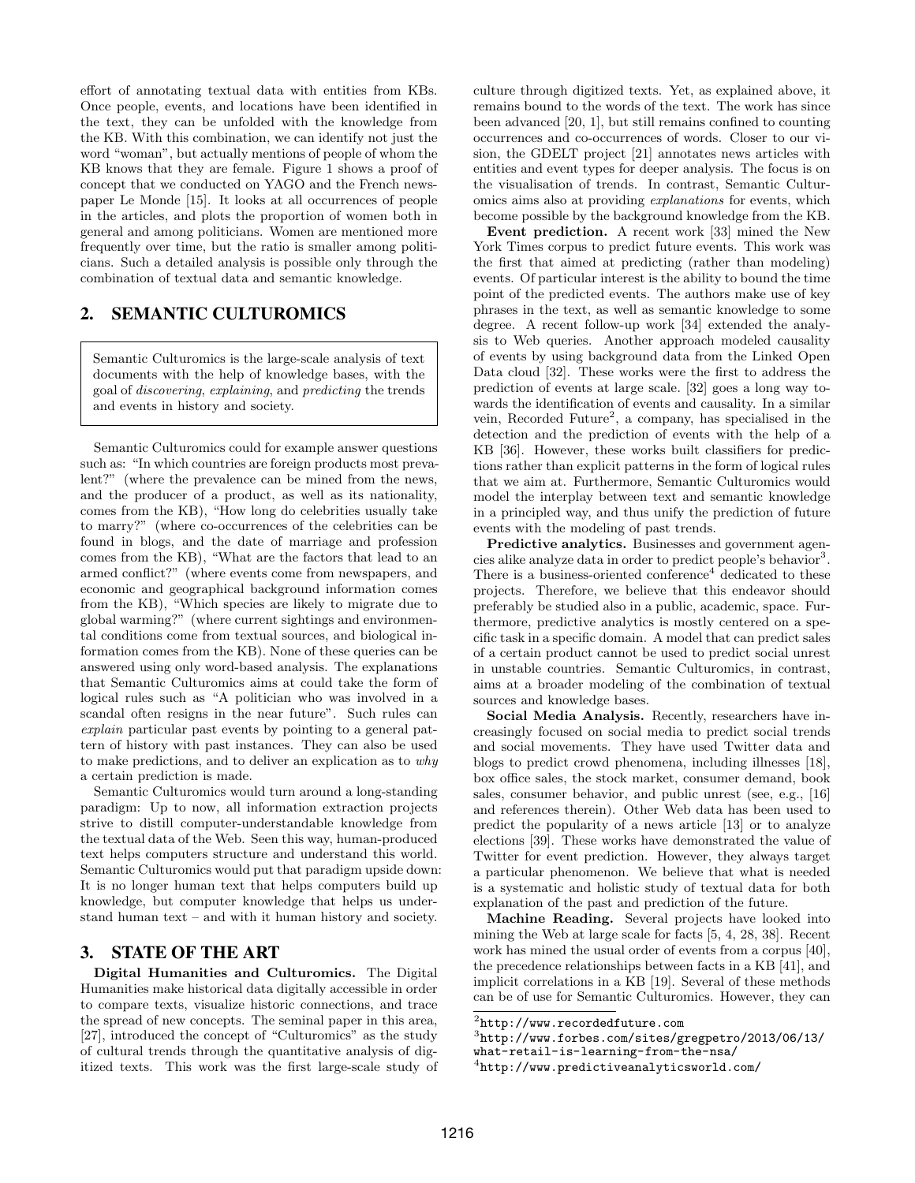effort of annotating textual data with entities from KBs. Once people, events, and locations have been identified in the text, they can be unfolded with the knowledge from the KB. With this combination, we can identify not just the word "woman", but actually mentions of people of whom the KB knows that they are female. Figure 1 shows a proof of concept that we conducted on YAGO and the French newspaper Le Monde [\[15\]](#page-3-5). It looks at all occurrences of people in the articles, and plots the proportion of women both in general and among politicians. Women are mentioned more frequently over time, but the ratio is smaller among politicians. Such a detailed analysis is possible only through the combination of textual data and semantic knowledge.

# 2. SEMANTIC CULTUROMICS

Semantic Culturomics is the large-scale analysis of text documents with the help of knowledge bases, with the goal of discovering, explaining, and predicting the trends and events in history and society.

Semantic Culturomics could for example answer questions such as: "In which countries are foreign products most prevalent?" (where the prevalence can be mined from the news, and the producer of a product, as well as its nationality, comes from the KB), "How long do celebrities usually take to marry?" (where co-occurrences of the celebrities can be found in blogs, and the date of marriage and profession comes from the KB), "What are the factors that lead to an armed conflict?" (where events come from newspapers, and economic and geographical background information comes from the KB), "Which species are likely to migrate due to global warming?" (where current sightings and environmental conditions come from textual sources, and biological information comes from the KB). None of these queries can be answered using only word-based analysis. The explanations that Semantic Culturomics aims at could take the form of logical rules such as "A politician who was involved in a scandal often resigns in the near future". Such rules can explain particular past events by pointing to a general pattern of history with past instances. They can also be used to make predictions, and to deliver an explication as to why a certain prediction is made.

Semantic Culturomics would turn around a long-standing paradigm: Up to now, all information extraction projects strive to distill computer-understandable knowledge from the textual data of the Web. Seen this way, human-produced text helps computers structure and understand this world. Semantic Culturomics would put that paradigm upside down: It is no longer human text that helps computers build up knowledge, but computer knowledge that helps us understand human text – and with it human history and society.

# 3. STATE OF THE ART

Digital Humanities and Culturomics. The Digital Humanities make historical data digitally accessible in order to compare texts, visualize historic connections, and trace the spread of new concepts. The seminal paper in this area, [\[27\]](#page-3-3), introduced the concept of "Culturomics" as the study of cultural trends through the quantitative analysis of digitized texts. This work was the first large-scale study of culture through digitized texts. Yet, as explained above, it remains bound to the words of the text. The work has since been advanced [\[20,](#page-3-6) [1\]](#page-3-7), but still remains confined to counting occurrences and co-occurrences of words. Closer to our vision, the GDELT project [\[21\]](#page-3-8) annotates news articles with entities and event types for deeper analysis. The focus is on the visualisation of trends. In contrast, Semantic Culturomics aims also at providing explanations for events, which become possible by the background knowledge from the KB.

Event prediction. A recent work [\[33\]](#page-3-9) mined the New York Times corpus to predict future events. This work was the first that aimed at predicting (rather than modeling) events. Of particular interest is the ability to bound the time point of the predicted events. The authors make use of key phrases in the text, as well as semantic knowledge to some degree. A recent follow-up work [\[34\]](#page-3-10) extended the analysis to Web queries. Another approach modeled causality of events by using background data from the Linked Open Data cloud [\[32\]](#page-3-11). These works were the first to address the prediction of events at large scale. [\[32\]](#page-3-11) goes a long way towards the identification of events and causality. In a similar vein, Recorded Future<sup>[2](#page-1-0)</sup>, a company, has specialised in the detection and the prediction of events with the help of a KB [\[36\]](#page-3-12). However, these works built classifiers for predictions rather than explicit patterns in the form of logical rules that we aim at. Furthermore, Semantic Culturomics would model the interplay between text and semantic knowledge in a principled way, and thus unify the prediction of future events with the modeling of past trends.

Predictive analytics. Businesses and government agen-cies alike analyze data in order to predict people's behavior<sup>[3](#page-1-1)</sup>. There is a business-oriented conference<sup>[4](#page-1-2)</sup> dedicated to these projects. Therefore, we believe that this endeavor should preferably be studied also in a public, academic, space. Furthermore, predictive analytics is mostly centered on a specific task in a specific domain. A model that can predict sales of a certain product cannot be used to predict social unrest in unstable countries. Semantic Culturomics, in contrast, aims at a broader modeling of the combination of textual sources and knowledge bases.

Social Media Analysis. Recently, researchers have increasingly focused on social media to predict social trends and social movements. They have used Twitter data and blogs to predict crowd phenomena, including illnesses [\[18\]](#page-3-13), box office sales, the stock market, consumer demand, book sales, consumer behavior, and public unrest (see, e.g., [\[16\]](#page-3-14) and references therein). Other Web data has been used to predict the popularity of a news article [\[13\]](#page-3-15) or to analyze elections [\[39\]](#page-3-16). These works have demonstrated the value of Twitter for event prediction. However, they always target a particular phenomenon. We believe that what is needed is a systematic and holistic study of textual data for both explanation of the past and prediction of the future.

Machine Reading. Several projects have looked into mining the Web at large scale for facts [\[5,](#page-3-1) [4,](#page-3-4) [28,](#page-3-17) [38\]](#page-3-18). Recent work has mined the usual order of events from a corpus [\[40\]](#page-3-19), the precedence relationships between facts in a KB [\[41\]](#page-3-20), and implicit correlations in a KB [\[19\]](#page-3-21). Several of these methods can be of use for Semantic Culturomics. However, they can

<span id="page-1-0"></span> $^{2}$ <http://www.recordedfuture.com>

<span id="page-1-1"></span><sup>3</sup> [http://www.forbes.com/sites/gregpetro/2013/06/13/]( http://www.forbes.com/sites/gregpetro/2013/06/13/what-retail-is-learning-from-the-nsa/)

[what-retail-is-learning-from-the-nsa/]( http://www.forbes.com/sites/gregpetro/2013/06/13/what-retail-is-learning-from-the-nsa/)

<span id="page-1-2"></span> $^4$ [http://www.predictiveanalyticsworld.com/](http://www.predictiveanalyticsworld.com/ )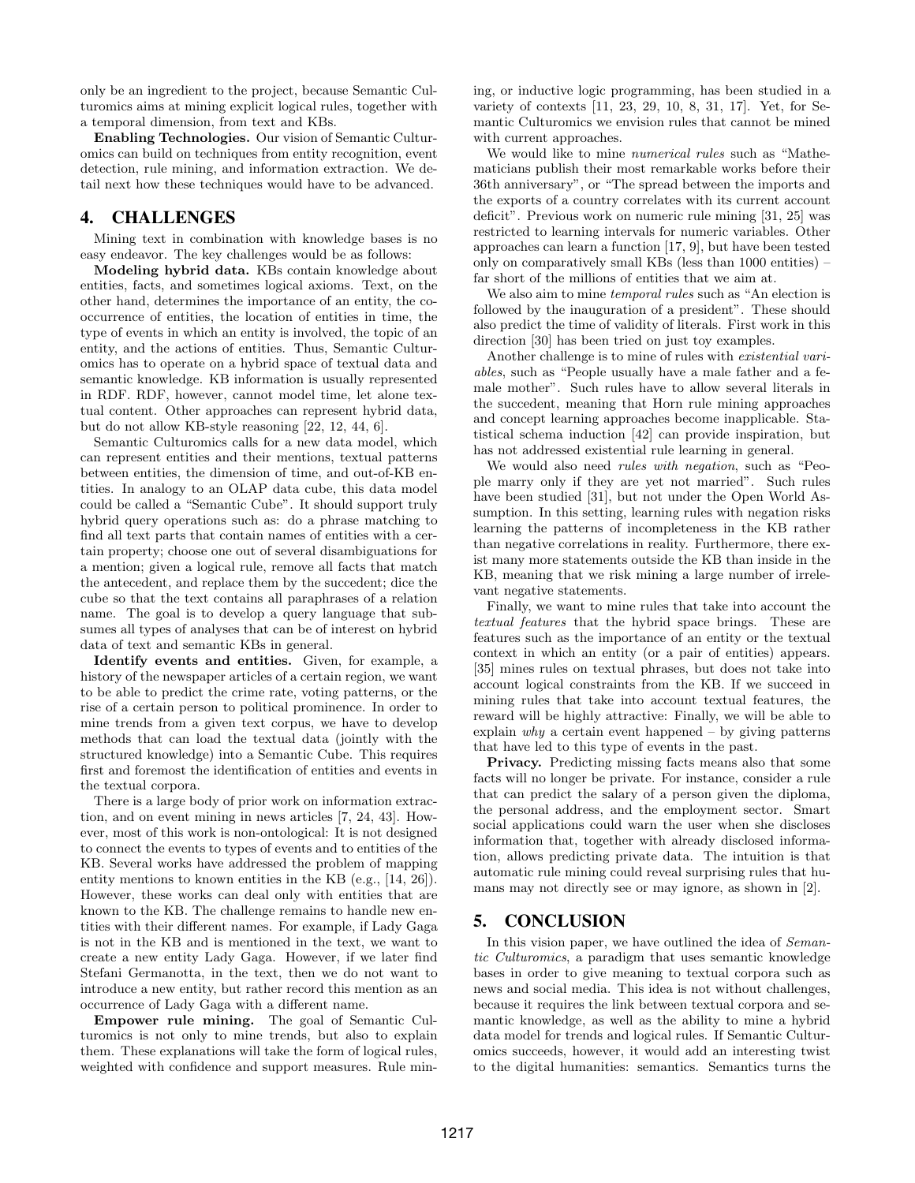only be an ingredient to the project, because Semantic Culturomics aims at mining explicit logical rules, together with a temporal dimension, from text and KBs.

Enabling Technologies. Our vision of Semantic Culturomics can build on techniques from entity recognition, event detection, rule mining, and information extraction. We detail next how these techniques would have to be advanced.

# 4. CHALLENGES

Mining text in combination with knowledge bases is no easy endeavor. The key challenges would be as follows:

Modeling hybrid data. KBs contain knowledge about entities, facts, and sometimes logical axioms. Text, on the other hand, determines the importance of an entity, the cooccurrence of entities, the location of entities in time, the type of events in which an entity is involved, the topic of an entity, and the actions of entities. Thus, Semantic Culturomics has to operate on a hybrid space of textual data and semantic knowledge. KB information is usually represented in RDF. RDF, however, cannot model time, let alone textual content. Other approaches can represent hybrid data, but do not allow KB-style reasoning [\[22,](#page-3-22) [12,](#page-3-23) [44,](#page-3-24) [6\]](#page-3-25).

Semantic Culturomics calls for a new data model, which can represent entities and their mentions, textual patterns between entities, the dimension of time, and out-of-KB entities. In analogy to an OLAP data cube, this data model could be called a "Semantic Cube". It should support truly hybrid query operations such as: do a phrase matching to find all text parts that contain names of entities with a certain property; choose one out of several disambiguations for a mention; given a logical rule, remove all facts that match the antecedent, and replace them by the succedent; dice the cube so that the text contains all paraphrases of a relation name. The goal is to develop a query language that subsumes all types of analyses that can be of interest on hybrid data of text and semantic KBs in general.

Identify events and entities. Given, for example, a history of the newspaper articles of a certain region, we want to be able to predict the crime rate, voting patterns, or the rise of a certain person to political prominence. In order to mine trends from a given text corpus, we have to develop methods that can load the textual data (jointly with the structured knowledge) into a Semantic Cube. This requires first and foremost the identification of entities and events in the textual corpora.

There is a large body of prior work on information extraction, and on event mining in news articles [\[7,](#page-3-26) [24,](#page-3-27) [43\]](#page-3-28). However, most of this work is non-ontological: It is not designed to connect the events to types of events and to entities of the KB. Several works have addressed the problem of mapping entity mentions to known entities in the KB (e.g., [\[14,](#page-3-29) [26\]](#page-3-30)). However, these works can deal only with entities that are known to the KB. The challenge remains to handle new entities with their different names. For example, if Lady Gaga is not in the KB and is mentioned in the text, we want to create a new entity Lady Gaga. However, if we later find Stefani Germanotta, in the text, then we do not want to introduce a new entity, but rather record this mention as an occurrence of Lady Gaga with a different name.

Empower rule mining. The goal of Semantic Culturomics is not only to mine trends, but also to explain them. These explanations will take the form of logical rules, weighted with confidence and support measures. Rule mining, or inductive logic programming, has been studied in a variety of contexts [\[11,](#page-3-31) [23,](#page-3-32) [29,](#page-3-33) [10,](#page-3-34) [8,](#page-3-35) [31,](#page-3-36) [17\]](#page-3-37). Yet, for Semantic Culturomics we envision rules that cannot be mined with current approaches.

We would like to mine *numerical rules* such as "Mathematicians publish their most remarkable works before their 36th anniversary", or "The spread between the imports and the exports of a country correlates with its current account deficit". Previous work on numeric rule mining [\[31,](#page-3-36) [25\]](#page-3-38) was restricted to learning intervals for numeric variables. Other approaches can learn a function [\[17,](#page-3-37) [9\]](#page-3-39), but have been tested only on comparatively small KBs (less than 1000 entities) – far short of the millions of entities that we aim at.

We also aim to mine *temporal rules* such as "An election is followed by the inauguration of a president". These should also predict the time of validity of literals. First work in this direction  $[30]$  has been tried on just toy examples.

Another challenge is to mine of rules with existential variables, such as "People usually have a male father and a female mother". Such rules have to allow several literals in the succedent, meaning that Horn rule mining approaches and concept learning approaches become inapplicable. Statistical schema induction [\[42\]](#page-3-41) can provide inspiration, but has not addressed existential rule learning in general.

We would also need rules with negation, such as "People marry only if they are yet not married". Such rules have been studied [\[31\]](#page-3-36), but not under the Open World Assumption. In this setting, learning rules with negation risks learning the patterns of incompleteness in the KB rather than negative correlations in reality. Furthermore, there exist many more statements outside the KB than inside in the KB, meaning that we risk mining a large number of irrelevant negative statements.

Finally, we want to mine rules that take into account the textual features that the hybrid space brings. These are features such as the importance of an entity or the textual context in which an entity (or a pair of entities) appears. [\[35\]](#page-3-42) mines rules on textual phrases, but does not take into account logical constraints from the KB. If we succeed in mining rules that take into account textual features, the reward will be highly attractive: Finally, we will be able to explain  $why$  a certain event happened – by giving patterns that have led to this type of events in the past.

Privacy. Predicting missing facts means also that some facts will no longer be private. For instance, consider a rule that can predict the salary of a person given the diploma, the personal address, and the employment sector. Smart social applications could warn the user when she discloses information that, together with already disclosed information, allows predicting private data. The intuition is that automatic rule mining could reveal surprising rules that humans may not directly see or may ignore, as shown in [\[2\]](#page-3-43).

# 5. CONCLUSION

In this vision paper, we have outlined the idea of Semantic Culturomics, a paradigm that uses semantic knowledge bases in order to give meaning to textual corpora such as news and social media. This idea is not without challenges, because it requires the link between textual corpora and semantic knowledge, as well as the ability to mine a hybrid data model for trends and logical rules. If Semantic Culturomics succeeds, however, it would add an interesting twist to the digital humanities: semantics. Semantics turns the